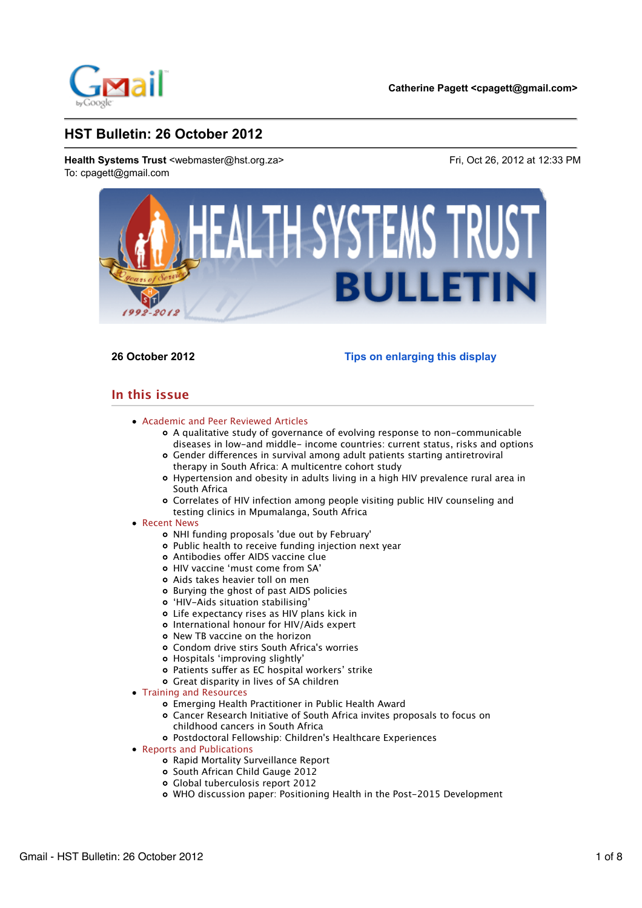

**26 October 2012 Tips on enlarging this display**

# **In this issue**

- Academic and Peer Reviewed Articles
	- A qualitative study of governance of evolving response to non-communicable diseases in low-and middle- income countries: current status, risks and options
	- Gender diferences in survival among adult patients starting antiretroviral therapy in South Africa: A multicentre cohort study
	- Hypertension and obesity in adults living in a high HIV prevalence rural area in South Africa
	- Correlates of HIV infection among people visiting public HIV counseling and testing clinics in Mpumalanga, South Africa

# • Recent News

- NHI funding proposals 'due out by February'
- Public health to receive funding injection next year
- Antibodies ofer AIDS vaccine clue
- HIV vaccine 'must come from SA'
- Aids takes heavier toll on men
- Burying the ghost of past AIDS policies
- 'HIV-Aids situation stabilising'
- Life expectancy rises as HIV plans kick in
- International honour for HIV/Aids expert
- o New TB vaccine on the horizon
- Condom drive stirs South Africa's worries
- Hospitals 'improving slightly'
- o Patients suffer as EC hospital workers' strike
- Great disparity in lives of SA children
- Training and Resources
	- Emerging Health Practitioner in Public Health Award
	- Cancer Research Initiative of South Africa invites proposals to focus on childhood cancers in South Africa
	- Postdoctoral Fellowship: Children's Healthcare Experiences
- Reports and Publications
	- Rapid Mortality Surveillance Report
	- o South African Child Gauge 2012
	- Global tuberculosis report 2012
	- WHO discussion paper: Positioning Health in the Post-2015 Development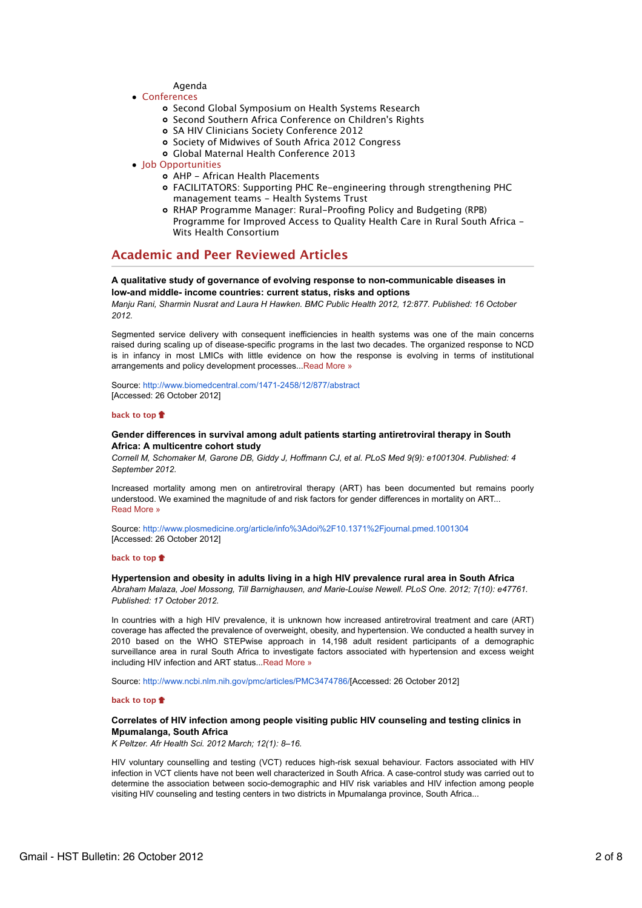- Agenda
- Conferences
	- o Second Global Symposium on Health Systems Research
	- Second Southern Africa Conference on Children's Rights
	- SA HIV Clinicians Society Conference 2012
	- o Society of Midwives of South Africa 2012 Congress
	- Global Maternal Health Conference 2013
- Iob Opportunities
	- AHP African Health Placements FACILITATORS: Supporting PHC Re-engineering through strengthening PHC management teams - Health Systems Trust
	- RHAP Programme Manager: Rural-Proofing Policy and Budgeting (RPB) Programme for Improved Access to Quality Health Care in Rural South Africa - Wits Health Consortium

# **Academic and Peer Reviewed Articles**

# **A qualitative study of governance of evolving response to non-communicable diseases in low-and middle- income countries: current status, risks and options**

*Manju Rani, Sharmin Nusrat and Laura H Hawken. BMC Public Health 2012, 12:877. Published: 16 October 2012.*

Segmented service delivery with consequent inefficiencies in health systems was one of the main concerns raised during scaling up of disease-specific programs in the last two decades. The organized response to NCD is in infancy in most LMICs with little evidence on how the response is evolving in terms of institutional arrangements and policy development processes...Read More »

Source: http://www.biomedcentral.com/1471-2458/12/877/abstract [Accessed: 26 October 2012]

### **back to top**

# **Gender differences in survival among adult patients starting antiretroviral therapy in South Africa: A multicentre cohort study**

*Cornell M, Schomaker M, Garone DB, Giddy J, Hoffmann CJ, et al. PLoS Med 9(9): e1001304. Published: 4 September 2012.*

Increased mortality among men on antiretroviral therapy (ART) has been documented but remains poorly understood. We examined the magnitude of and risk factors for gender differences in mortality on ART... Read More »

Source: http://www.plosmedicine.org/article/info%3Adoi%2F10.1371%2Fjournal.pmed.1001304 [Accessed: 26 October 2012]

### **back to top**

# **Hypertension and obesity in adults living in a high HIV prevalence rural area in South Africa**

*Abraham Malaza, Joel Mossong, Till Barnighausen, and Marie-Louise Newell. PLoS One. 2012; 7(10): e47761. Published: 17 October 2012.*

In countries with a high HIV prevalence, it is unknown how increased antiretroviral treatment and care (ART) coverage has affected the prevalence of overweight, obesity, and hypertension. We conducted a health survey in 2010 based on the WHO STEPwise approach in 14,198 adult resident participants of a demographic surveillance area in rural South Africa to investigate factors associated with hypertension and excess weight including HIV infection and ART status...Read More »

Source: http://www.ncbi.nlm.nih.gov/pmc/articles/PMC3474786/[Accessed: 26 October 2012]

# **back to top**

# **Correlates of HIV infection among people visiting public HIV counseling and testing clinics in Mpumalanga, South Africa**

*K Peltzer. Afr Health Sci. 2012 March; 12(1): 8–16.*

HIV voluntary counselling and testing (VCT) reduces high-risk sexual behaviour. Factors associated with HIV infection in VCT clients have not been well characterized in South Africa. A case-control study was carried out to determine the association between socio-demographic and HIV risk variables and HIV infection among people visiting HIV counseling and testing centers in two districts in Mpumalanga province, South Africa...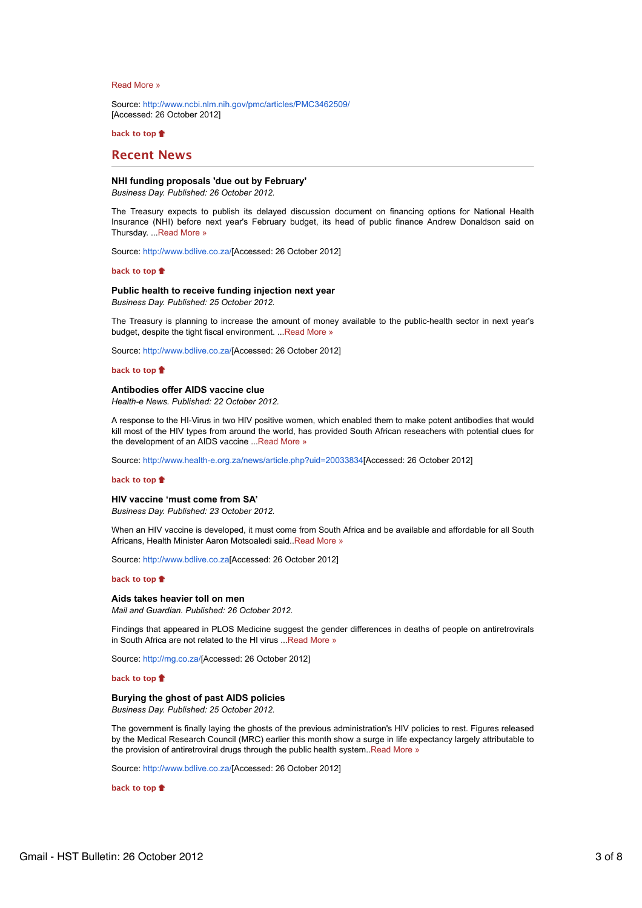### Read More »

Source: http://www.ncbi.nlm.nih.gov/pmc/articles/PMC3462509/ [Accessed: 26 October 2012]

**back to top**

# **Recent News**

# **NHI funding proposals 'due out by February'**

*Business Day. Published: 26 October 2012.*

The Treasury expects to publish its delayed discussion document on financing options for National Health Insurance (NHI) before next year's February budget, its head of public finance Andrew Donaldson said on Thursday. ...Read More »

Source: http://www.bdlive.co.za/[Accessed: 26 October 2012]

### **back to top**

# **Public health to receive funding injection next year**

*Business Day. Published: 25 October 2012.*

The Treasury is planning to increase the amount of money available to the public-health sector in next year's budget, despite the tight fiscal environment. ...Read More »

Source: http://www.bdlive.co.za/[Accessed: 26 October 2012]

### **back to top**

#### **Antibodies offer AIDS vaccine clue**

*Health-e News. Published: 22 October 2012.*

A response to the HI-Virus in two HIV positive women, which enabled them to make potent antibodies that would kill most of the HIV types from around the world, has provided South African reseachers with potential clues for the development of an AIDS vaccine ...Read More »

Source: http://www.health-e.org.za/news/article.php?uid=20033834[Accessed: 26 October 2012]

#### **back to top**

# **HIV vaccine 'must come from SA'**

*Business Day. Published: 23 October 2012.*

When an HIV vaccine is developed, it must come from South Africa and be available and affordable for all South Africans, Health Minister Aaron Motsoaledi said..Read More »

Source: http://www.bdlive.co.za[Accessed: 26 October 2012]

### **back to top**

#### **Aids takes heavier toll on men**

*Mail and Guardian. Published: 26 October 2012.*

Findings that appeared in PLOS Medicine suggest the gender differences in deaths of people on antiretrovirals in South Africa are not related to the HI virus ...Read More »

Source: http://mg.co.za/[Accessed: 26 October 2012]

# **back to top**

### **Burying the ghost of past AIDS policies**

*Business Day. Published: 25 October 2012.*

The government is finally laying the ghosts of the previous administration's HIV policies to rest. Figures released by the Medical Research Council (MRC) earlier this month show a surge in life expectancy largely attributable to the provision of antiretroviral drugs through the public health system..Read More »

Source: http://www.bdlive.co.za/[Accessed: 26 October 2012]

**back to top**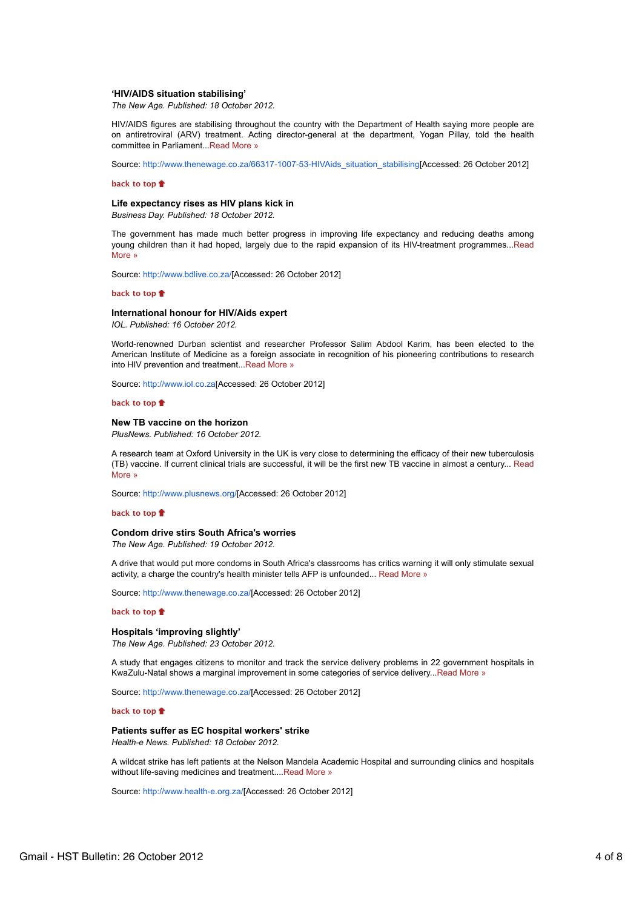### **'HIV/AIDS situation stabilising'**

*The New Age. Published: 18 October 2012.*

HIV/AIDS figures are stabilising throughout the country with the Department of Health saying more people are on antiretroviral (ARV) treatment. Acting director-general at the department, Yogan Pillay, told the health committee in Parliament...Read More »

Source: http://www.thenewage.co.za/66317-1007-53-HIVAids\_situation\_stabilising[Accessed: 26 October 2012]

### **back to top**

### **Life expectancy rises as HIV plans kick in**

*Business Day. Published: 18 October 2012.*

The government has made much better progress in improving life expectancy and reducing deaths among young children than it had hoped, largely due to the rapid expansion of its HIV-treatment programmes...Read More »

Source: http://www.bdlive.co.za/[Accessed: 26 October 2012]

### **back to top**

# **International honour for HIV/Aids expert**

*IOL. Published: 16 October 2012.*

World-renowned Durban scientist and researcher Professor Salim Abdool Karim, has been elected to the American Institute of Medicine as a foreign associate in recognition of his pioneering contributions to research into HIV prevention and treatment...Read More »

Source: http://www.iol.co.za[Accessed: 26 October 2012]

**back to top**

#### **New TB vaccine on the horizon**

*PlusNews. Published: 16 October 2012.*

A research team at Oxford University in the UK is very close to determining the efficacy of their new tuberculosis (TB) vaccine. If current clinical trials are successful, it will be the first new TB vaccine in almost a century... Read More »

Source: http://www.plusnews.org/[Accessed: 26 October 2012]

### **back to top**

# **Condom drive stirs South Africa's worries**

*The New Age. Published: 19 October 2012.*

A drive that would put more condoms in South Africa's classrooms has critics warning it will only stimulate sexual activity, a charge the country's health minister tells AFP is unfounded... Read More »

Source: http://www.thenewage.co.za/[Accessed: 26 October 2012]

### **back to top**

# **Hospitals 'improving slightly'**

*The New Age. Published: 23 October 2012.*

A study that engages citizens to monitor and track the service delivery problems in 22 government hospitals in KwaZulu-Natal shows a marginal improvement in some categories of service delivery...Read More »

Source: http://www.thenewage.co.za/[Accessed: 26 October 2012]

### **back to top**

# **Patients suffer as EC hospital workers' strike**

*Health-e News. Published: 18 October 2012.*

A wildcat strike has left patients at the Nelson Mandela Academic Hospital and surrounding clinics and hospitals without life-saving medicines and treatment....Read More »

Source: http://www.health-e.org.za/[Accessed: 26 October 2012]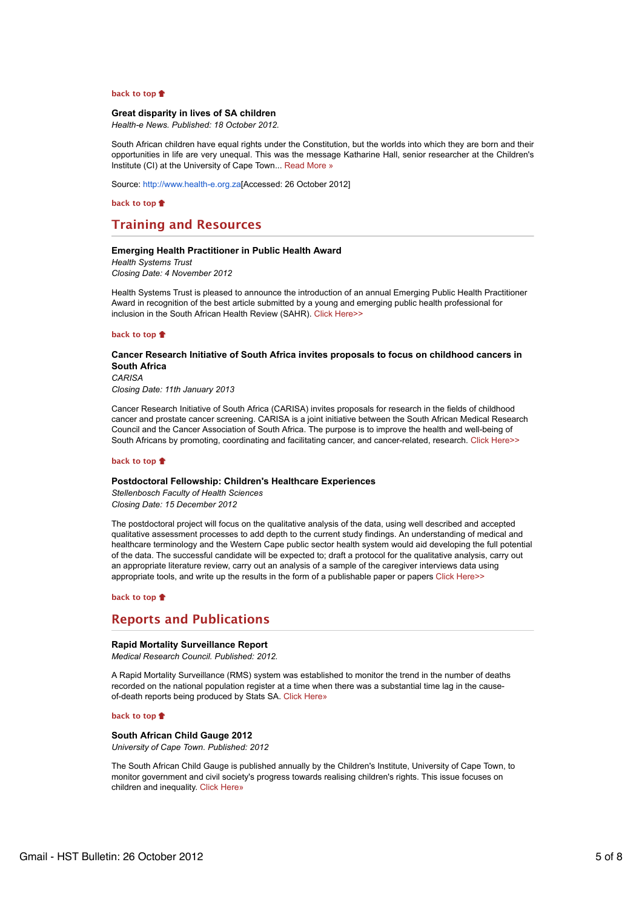# **back to top**

# **Great disparity in lives of SA children**

*Health-e News. Published: 18 October 2012.*

South African children have equal rights under the Constitution, but the worlds into which they are born and their opportunities in life are very unequal. This was the message Katharine Hall, senior researcher at the Children's Institute (CI) at the University of Cape Town... Read More »

Source: http://www.health-e.org.za[Accessed: 26 October 2012]

**back to top**

# **Training and Resources**

### **Emerging Health Practitioner in Public Health Award**

*Health Systems Trust Closing Date: 4 November 2012*

Health Systems Trust is pleased to announce the introduction of an annual Emerging Public Health Practitioner Award in recognition of the best article submitted by a young and emerging public health professional for inclusion in the South African Health Review (SAHR). Click Here>>

**back to top**

# **Cancer Research Initiative of South Africa invites proposals to focus on childhood cancers in South Africa**

*CARISA Closing Date: 11th January 2013*

Cancer Research Initiative of South Africa (CARISA) invites proposals for research in the fields of childhood cancer and prostate cancer screening. CARISA is a joint initiative between the South African Medical Research Council and the Cancer Association of South Africa. The purpose is to improve the health and well-being of South Africans by promoting, coordinating and facilitating cancer, and cancer-related, research. Click Here>>

#### **back to top**

### **Postdoctoral Fellowship: Children's Healthcare Experiences**

*Stellenbosch Faculty of Health Sciences Closing Date: 15 December 2012*

The postdoctoral project will focus on the qualitative analysis of the data, using well described and accepted qualitative assessment processes to add depth to the current study findings. An understanding of medical and healthcare terminology and the Western Cape public sector health system would aid developing the full potential of the data. The successful candidate will be expected to; draft a protocol for the qualitative analysis, carry out an appropriate literature review, carry out an analysis of a sample of the caregiver interviews data using appropriate tools, and write up the results in the form of a publishable paper or papers Click Here>>

# **back to top**

# **Reports and Publications**

### **Rapid Mortality Surveillance Report**

*Medical Research Council. Published: 2012.*

A Rapid Mortality Surveillance (RMS) system was established to monitor the trend in the number of deaths recorded on the national population register at a time when there was a substantial time lag in the causeof-death reports being produced by Stats SA. Click Here»

### **back to top**

# **South African Child Gauge 2012**

*University of Cape Town. Published: 2012*

The South African Child Gauge is published annually by the Children's Institute, University of Cape Town, to monitor government and civil society's progress towards realising children's rights. This issue focuses on children and inequality. Click Here»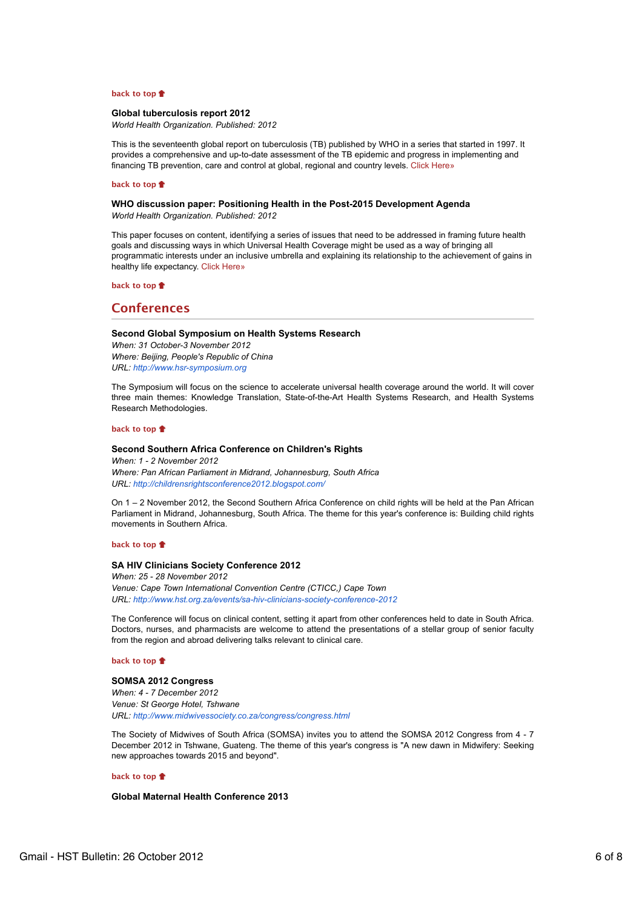# **back to top**

### **Global tuberculosis report 2012**

*World Health Organization. Published: 2012*

This is the seventeenth global report on tuberculosis (TB) published by WHO in a series that started in 1997. It provides a comprehensive and up-to-date assessment of the TB epidemic and progress in implementing and financing TB prevention, care and control at global, regional and country levels. Click Here»

### **back to top**

# **WHO discussion paper: Positioning Health in the Post-2015 Development Agenda**

*World Health Organization. Published: 2012*

This paper focuses on content, identifying a series of issues that need to be addressed in framing future health goals and discussing ways in which Universal Health Coverage might be used as a way of bringing all programmatic interests under an inclusive umbrella and explaining its relationship to the achievement of gains in healthy life expectancy. Click Here»

### **back to top**

# **Conferences**

# **Second Global Symposium on Health Systems Research**

*When: 31 October-3 November 2012 Where: Beijing, People's Republic of China URL: http://www.hsr-symposium.org*

The Symposium will focus on the science to accelerate universal health coverage around the world. It will cover three main themes: Knowledge Translation, State-of-the-Art Health Systems Research, and Health Systems Research Methodologies.

### **back to top**

### **Second Southern Africa Conference on Children's Rights**

*When: 1 - 2 November 2012 Where: Pan African Parliament in Midrand, Johannesburg, South Africa URL: http://childrensrightsconference2012.blogspot.com/*

On 1 – 2 November 2012, the Second Southern Africa Conference on child rights will be held at the Pan African Parliament in Midrand, Johannesburg, South Africa. The theme for this year's conference is: Building child rights movements in Southern Africa.

# **back to top**

### **SA HIV Clinicians Society Conference 2012**

*When: 25 - 28 November 2012 Venue: Cape Town International Convention Centre (CTICC,) Cape Town URL: http://www.hst.org.za/events/sa-hiv-clinicians-society-conference-2012*

The Conference will focus on clinical content, setting it apart from other conferences held to date in South Africa. Doctors, nurses, and pharmacists are welcome to attend the presentations of a stellar group of senior faculty from the region and abroad delivering talks relevant to clinical care.

# **back to top**

# **SOMSA 2012 Congress**

*When: 4 - 7 December 2012 Venue: St George Hotel, Tshwane URL: http://www.midwivessociety.co.za/congress/congress.html*

The Society of Midwives of South Africa (SOMSA) invites you to attend the SOMSA 2012 Congress from 4 - 7 December 2012 in Tshwane, Guateng. The theme of this year's congress is "A new dawn in Midwifery: Seeking new approaches towards 2015 and beyond".

### **back to top**

# **Global Maternal Health Conference 2013**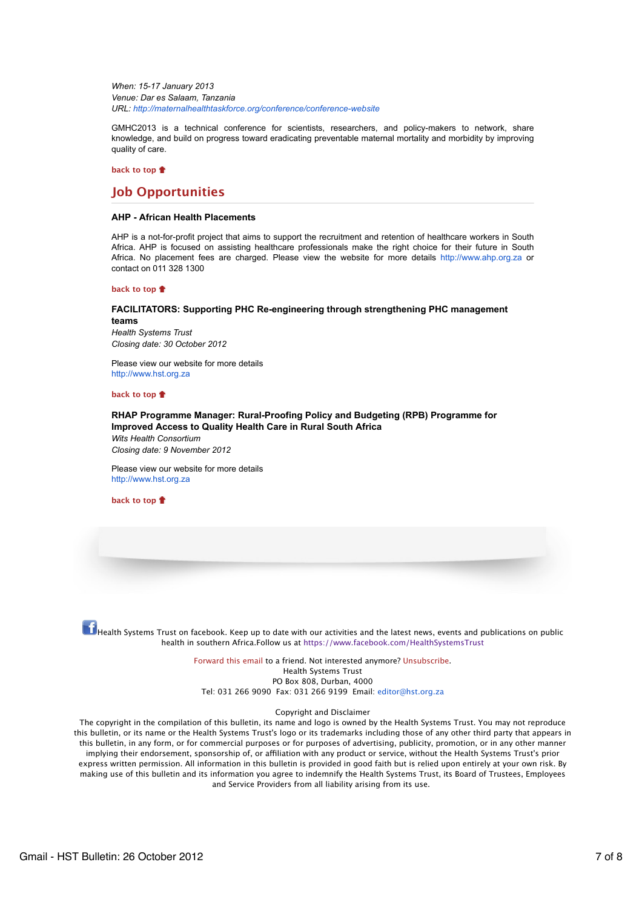*When: 15-17 January 2013 Venue: Dar es Salaam, Tanzania URL: http://maternalhealthtaskforce.org/conference/conference-website*

GMHC2013 is a technical conference for scientists, researchers, and policy-makers to network, share knowledge, and build on progress toward eradicating preventable maternal mortality and morbidity by improving quality of care.

**back to top**

# **Job Opportunities**

### **AHP - African Health Placements**

AHP is a not-for-profit project that aims to support the recruitment and retention of healthcare workers in South Africa. AHP is focused on assisting healthcare professionals make the right choice for their future in South Africa. No placement fees are charged. Please view the website for more details http://www.ahp.org.za or contact on 011 328 1300

#### **back to top**

# **FACILITATORS: Supporting PHC Re-engineering through strengthening PHC management teams** *Health Systems Trust Closing date: 30 October 2012*

Please view our website for more details http://www.hst.org.za

### **back to top**

# **RHAP Programme Manager: Rural-Proofing Policy and Budgeting (RPB) Programme for Improved Access to Quality Health Care in Rural South Africa** *Wits Health Consortium*

*Closing date: 9 November 2012*

Please view our website for more details http://www.hst.org.za

**back to top**

 $\bf{f}$  Health Systems Trust on facebook. Keep up to date with our activities and the latest news, events and publications on public health in southern Africa.Follow us at https://www.facebook.com/HealthSystemsTrust

> Forward this email to a friend. Not interested anymore? Unsubscribe. Health Systems Trust PO Box 808, Durban, 4000 Tel: 031 266 9090 Fax: 031 266 9199 Email: editor@hst.org.za

### Copyright and Disclaimer

The copyright in the compilation of this bulletin, its name and logo is owned by the Health Systems Trust. You may not reproduce this bulletin, or its name or the Health Systems Trust's logo or its trademarks including those of any other third party that appears in this bulletin, in any form, or for commercial purposes or for purposes of advertising, publicity, promotion, or in any other manner implying their endorsement, sponsorship of, or affiliation with any product or service, without the Health Systems Trust's prior express written permission. All information in this bulletin is provided in good faith but is relied upon entirely at your own risk. By making use of this bulletin and its information you agree to indemnify the Health Systems Trust, its Board of Trustees, Employees and Service Providers from all liability arising from its use.